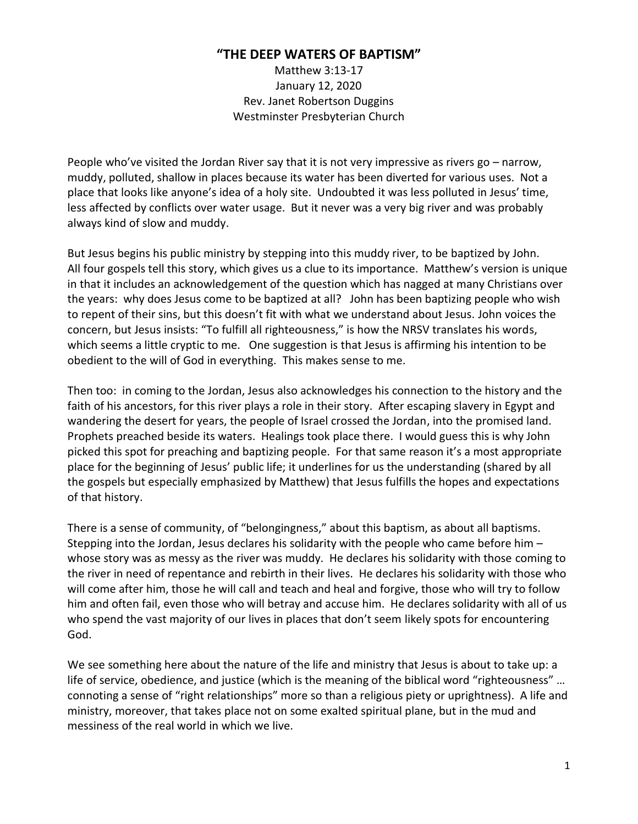## **"THE DEEP WATERS OF BAPTISM"**

Matthew 3:13-17 January 12, 2020 Rev. Janet Robertson Duggins Westminster Presbyterian Church

People who've visited the Jordan River say that it is not very impressive as rivers go – narrow, muddy, polluted, shallow in places because its water has been diverted for various uses. Not a place that looks like anyone's idea of a holy site. Undoubted it was less polluted in Jesus' time, less affected by conflicts over water usage. But it never was a very big river and was probably always kind of slow and muddy.

But Jesus begins his public ministry by stepping into this muddy river, to be baptized by John. All four gospels tell this story, which gives us a clue to its importance. Matthew's version is unique in that it includes an acknowledgement of the question which has nagged at many Christians over the years: why does Jesus come to be baptized at all? John has been baptizing people who wish to repent of their sins, but this doesn't fit with what we understand about Jesus. John voices the concern, but Jesus insists: "To fulfill all righteousness," is how the NRSV translates his words, which seems a little cryptic to me. One suggestion is that Jesus is affirming his intention to be obedient to the will of God in everything. This makes sense to me.

Then too: in coming to the Jordan, Jesus also acknowledges his connection to the history and the faith of his ancestors, for this river plays a role in their story. After escaping slavery in Egypt and wandering the desert for years, the people of Israel crossed the Jordan, into the promised land. Prophets preached beside its waters. Healings took place there. I would guess this is why John picked this spot for preaching and baptizing people. For that same reason it's a most appropriate place for the beginning of Jesus' public life; it underlines for us the understanding (shared by all the gospels but especially emphasized by Matthew) that Jesus fulfills the hopes and expectations of that history.

There is a sense of community, of "belongingness," about this baptism, as about all baptisms. Stepping into the Jordan, Jesus declares his solidarity with the people who came before him – whose story was as messy as the river was muddy. He declares his solidarity with those coming to the river in need of repentance and rebirth in their lives. He declares his solidarity with those who will come after him, those he will call and teach and heal and forgive, those who will try to follow him and often fail, even those who will betray and accuse him. He declares solidarity with all of us who spend the vast majority of our lives in places that don't seem likely spots for encountering God.

We see something here about the nature of the life and ministry that Jesus is about to take up: a life of service, obedience, and justice (which is the meaning of the biblical word "righteousness" … connoting a sense of "right relationships" more so than a religious piety or uprightness). A life and ministry, moreover, that takes place not on some exalted spiritual plane, but in the mud and messiness of the real world in which we live.